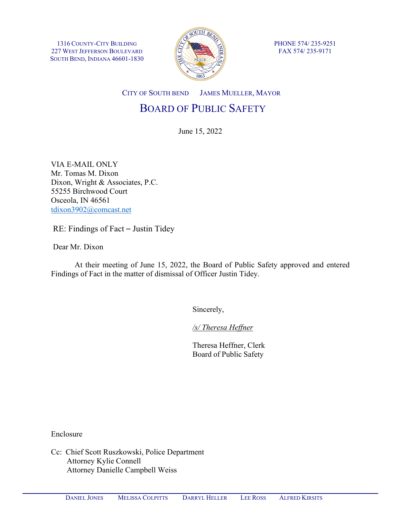1316 COUNTY-CITY BUILDING 227 WEST JEFFERSON BOULEVARD SOUTH BEND, INDIANA 46601-1830



PHONE 574/ 235-9251 FAX 574/ 235-9171

CITY OF SOUTH BEND JAMES MUELLER, MAYOR

# BOARD OF PUBLIC SAFETY

June 15, 2022

VIA E-MAIL ONLY Mr. Tomas M. Dixon Dixon, Wright & Associates, P.C. 55255 Birchwood Court Osceola, IN 46561 [tdixon3902@comcast.net](mailto:tdixon3902@comcast.net)

RE: Findings of Fact – Justin Tidey

Dear Mr. Dixon

At their meeting of June 15, 2022, the Board of Public Safety approved and entered Findings of Fact in the matter of dismissal of Officer Justin Tidey.

Sincerely,

*/s/ Theresa Heffner*

Theresa Heffner, Clerk Board of Public Safety

Enclosure

Cc: Chief Scott Ruszkowski, Police Department Attorney Kylie Connell Attorney Danielle Campbell Weiss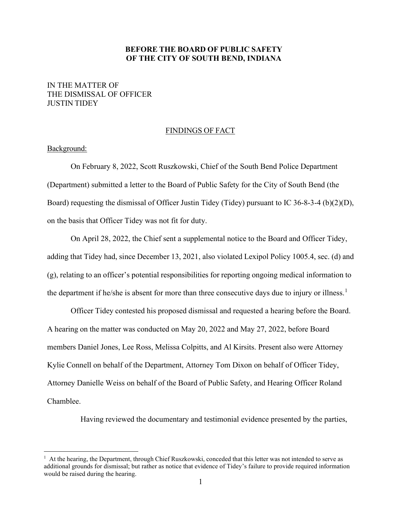### **BEFORE THE BOARD OF PUBLIC SAFETY OF THE CITY OF SOUTH BEND, INDIANA**

## IN THE MATTER OF THE DISMISSAL OF OFFICER JUSTIN TIDEY

#### FINDINGS OF FACT

#### Background:

On February 8, 2022, Scott Ruszkowski, Chief of the South Bend Police Department (Department) submitted a letter to the Board of Public Safety for the City of South Bend (the Board) requesting the dismissal of Officer Justin Tidey (Tidey) pursuant to IC 36-8-3-4 (b)(2)(D), on the basis that Officer Tidey was not fit for duty.

On April 28, 2022, the Chief sent a supplemental notice to the Board and Officer Tidey, adding that Tidey had, since December 13, 2021, also violated Lexipol Policy 1005.4, sec. (d) and (g), relating to an officer's potential responsibilities for reporting ongoing medical information to the department if he/she is absent for more than three consecutive days due to injury or illness.<sup>[1](#page-1-0)</sup>

Officer Tidey contested his proposed dismissal and requested a hearing before the Board. A hearing on the matter was conducted on May 20, 2022 and May 27, 2022, before Board members Daniel Jones, Lee Ross, Melissa Colpitts, and Al Kirsits. Present also were Attorney Kylie Connell on behalf of the Department, Attorney Tom Dixon on behalf of Officer Tidey, Attorney Danielle Weiss on behalf of the Board of Public Safety, and Hearing Officer Roland Chamblee.

Having reviewed the documentary and testimonial evidence presented by the parties,

<span id="page-1-0"></span><sup>&</sup>lt;sup>1</sup> At the hearing, the Department, through Chief Ruszkowski, conceded that this letter was not intended to serve as additional grounds for dismissal; but rather as notice that evidence of Tidey's failure to provide required information would be raised during the hearing.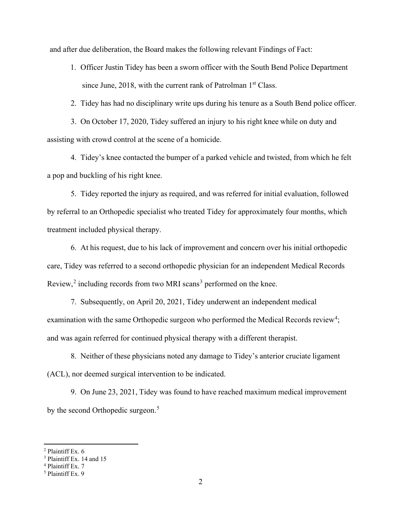and after due deliberation, the Board makes the following relevant Findings of Fact:

1. Officer Justin Tidey has been a sworn officer with the South Bend Police Department since June, 2018, with the current rank of Patrolman  $1<sup>st</sup> Class.$ 

2. Tidey has had no disciplinary write ups during his tenure as a South Bend police officer.

3. On October 17, 2020, Tidey suffered an injury to his right knee while on duty and assisting with crowd control at the scene of a homicide.

4. Tidey's knee contacted the bumper of a parked vehicle and twisted, from which he felt a pop and buckling of his right knee.

5. Tidey reported the injury as required, and was referred for initial evaluation, followed by referral to an Orthopedic specialist who treated Tidey for approximately four months, which treatment included physical therapy.

6. At his request, due to his lack of improvement and concern over his initial orthopedic care, Tidey was referred to a second orthopedic physician for an independent Medical Records Review, $2$  including records from two MRI scans<sup>[3](#page-2-1)</sup> performed on the knee.

7. Subsequently, on April 20, 2021, Tidey underwent an independent medical examination with the same Orthopedic surgeon who performed the Medical Records review<sup>[4](#page-2-2)</sup>; and was again referred for continued physical therapy with a different therapist.

8. Neither of these physicians noted any damage to Tidey's anterior cruciate ligament (ACL), nor deemed surgical intervention to be indicated.

9. On June 23, 2021, Tidey was found to have reached maximum medical improvement by the second Orthopedic surgeon.<sup>[5](#page-2-3)</sup>

<span id="page-2-0"></span><sup>&</sup>lt;sup>2</sup> Plaintiff Ex.  $6\overline{3}$  Plaintiff Ex. 14 and 15

<span id="page-2-3"></span><span id="page-2-2"></span><span id="page-2-1"></span> $4$  Plaintiff Ex. 7<br>5 Plaintiff Ex. 9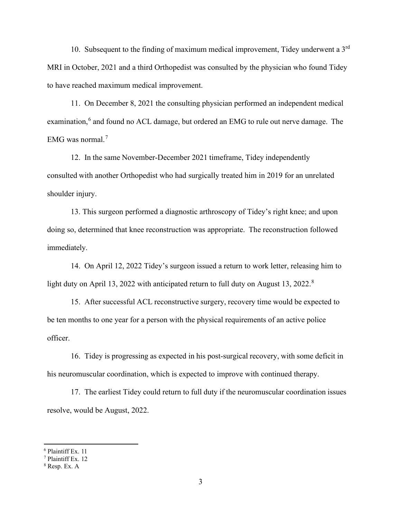10. Subsequent to the finding of maximum medical improvement, Tidey underwent a 3rd MRI in October, 2021 and a third Orthopedist was consulted by the physician who found Tidey to have reached maximum medical improvement.

11. On December 8, 2021 the consulting physician performed an independent medical examination,<sup>[6](#page-3-0)</sup> and found no ACL damage, but ordered an EMG to rule out nerve damage. The EMG was normal.[7](#page-3-1)

12. In the same November-December 2021 timeframe, Tidey independently consulted with another Orthopedist who had surgically treated him in 2019 for an unrelated shoulder injury.

13. This surgeon performed a diagnostic arthroscopy of Tidey's right knee; and upon doing so, determined that knee reconstruction was appropriate. The reconstruction followed immediately.

14. On April 12, 2022 Tidey's surgeon issued a return to work letter, releasing him to light duty on April 13, 2022 with anticipated return to full duty on August 13, 2022.<sup>[8](#page-3-2)</sup>

15. After successful ACL reconstructive surgery, recovery time would be expected to be ten months to one year for a person with the physical requirements of an active police officer.

16. Tidey is progressing as expected in his post-surgical recovery, with some deficit in his neuromuscular coordination, which is expected to improve with continued therapy.

17. The earliest Tidey could return to full duty if the neuromuscular coordination issues resolve, would be August, 2022.

<span id="page-3-0"></span><sup>6</sup> Plaintiff Ex. 11

<span id="page-3-1"></span> $<sup>7</sup>$  Plaintiff Ex. 12</sup>

<span id="page-3-2"></span><sup>8</sup> Resp. Ex. A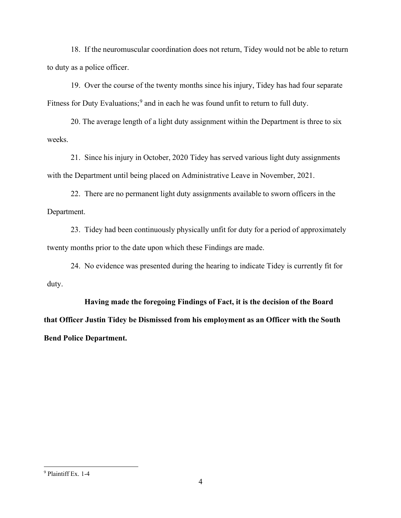18. If the neuromuscular coordination does not return, Tidey would not be able to return to duty as a police officer.

19. Over the course of the twenty months since his injury, Tidey has had four separate Fitness for Duty Evaluations;<sup>[9](#page-4-0)</sup> and in each he was found unfit to return to full duty.

20. The average length of a light duty assignment within the Department is three to six weeks.

21. Since his injury in October, 2020 Tidey has served various light duty assignments with the Department until being placed on Administrative Leave in November, 2021.

22. There are no permanent light duty assignments available to sworn officers in the Department.

23. Tidey had been continuously physically unfit for duty for a period of approximately twenty months prior to the date upon which these Findings are made.

24. No evidence was presented during the hearing to indicate Tidey is currently fit for duty.

**Having made the foregoing Findings of Fact, it is the decision of the Board that Officer Justin Tidey be Dismissed from his employment as an Officer with the South Bend Police Department.**

<span id="page-4-0"></span><sup>9</sup> Plaintiff Ex. 1-4